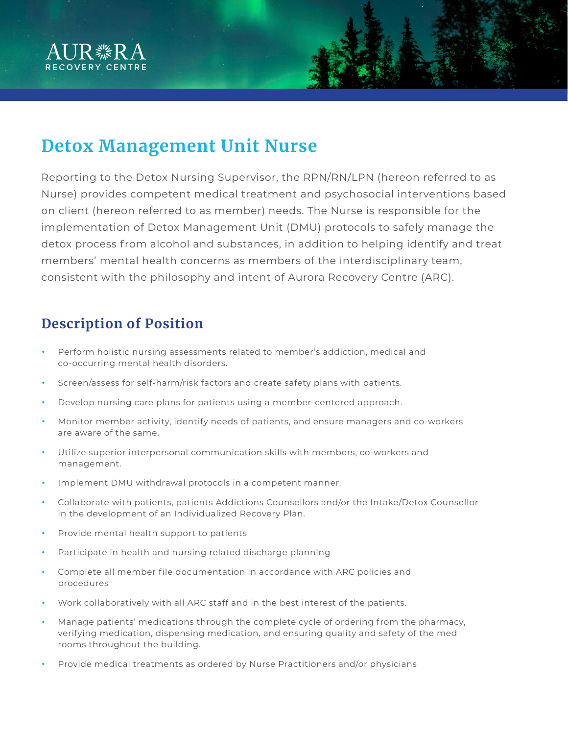

# **Detox Management Unit Nurse**

Reporting to the Detox Nursing Supervisor, the RPN/RN/LPN (hereon referred to as Nurse) provides competent medical treatment and psychosocial interventions based on client (hereon referred to as member) needs. The Nurse is responsible for the implementation of Detox Management Unit (DMU) protocols to safely manage the detox process from alcohol and substances, in addition to helping identify and treat members' mental health concerns as members of the interdisciplinary team, consistent with the philosophy and intent of Aurora Recovery Centre (ARC).

#### **Description of Position**

- Perform holistic nursing assessments related to member's addiction, medical and co-occurring mental health disorders.
- Screen/assess for self-harm/risk factors and create safety plans with patients.
- Develop nursing care plans for patients using a member-centered approach.
- Monitor member activity, identify needs of patients, and ensure managers and co-workers are aware of the same.
- Utilize superior interpersonal communication skills with members, co-workers and management.
- Implement DMU withdrawal protocols in a competent manner.
- Collaborate with patients, patients Addictions Counsellors and/or the Intake/Detox Counsellor in the development of an Individualized Recovery Plan.
- Provide mental health support to patients
- Participate in health and nursing related discharge planning
- Complete all member file documentation in accordance with ARC policies and procedures
- Work collaboratively with all ARC staff and in the best interest of the patients.
- Manage patients' medications through the complete cycle of ordering from the pharmacy, verifying medication, dispensing medication, and ensuring quality and safety of the med rooms throughout the building.
- Provide medical treatments as ordered by Nurse Practitioners and/or physicians